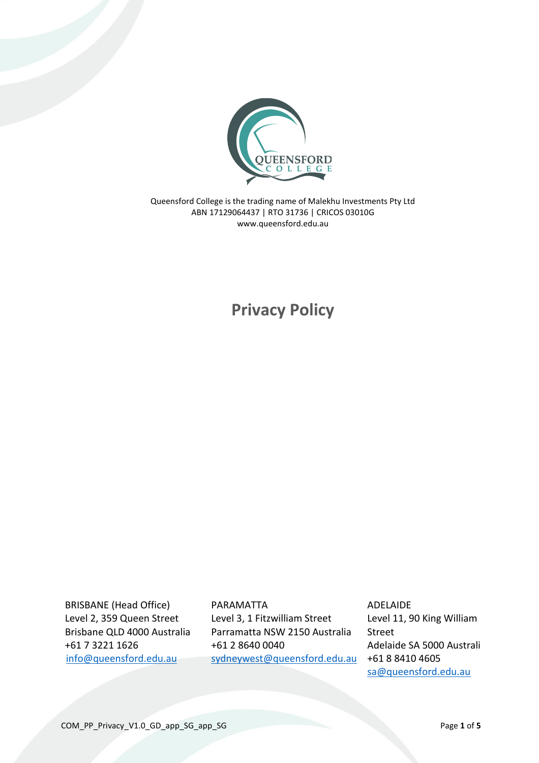

Queensford College is the trading name of Malekhu Investments Pty Ltd ABN 17129064437 | RTO 31736 | CRICOS 03010G www.queensford.edu.au

# **Privacy Policy**

BRISBANE (Head Office) Level 2, 359 Queen Street Brisbane QLD 4000 Australia +61 7 3221 1626 [info@queensford.edu.au](mailto:info@queensford.edu.au)

PARAMATTA Level 3, 1 Fitzwilliam Street Parramatta NSW 2150 Australia +61 2 8640 0040 [sydneywest@queensford.edu.au](mailto:sydneywest@queensford.edu.au) ADELAIDE Level 11, 90 King William Street Adelaide SA 5000 Australia +61 8 8410 4605 [sa@queensford.edu.au](mailto:sa@queensford.edu.au)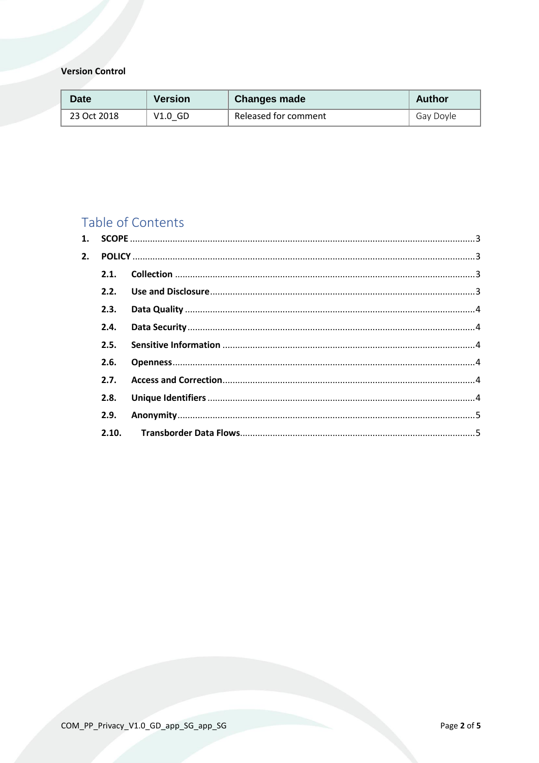## **Version Control**

| Date        | <b>Version</b> | <b>Changes made</b>  | <b>Author</b> |
|-------------|----------------|----------------------|---------------|
| 23 Oct 2018 | $V1.0$ GD      | Released for comment | Gay Doyle     |

# Table of Contents

| $\mathbf{1}$ . |       |  |  |
|----------------|-------|--|--|
| 2.             |       |  |  |
|                | 2.1.  |  |  |
|                |       |  |  |
|                | 2.3.  |  |  |
|                | 2.4.  |  |  |
|                | 2.5.  |  |  |
|                | 2.6.  |  |  |
|                | 2.7.  |  |  |
|                | 2.8.  |  |  |
|                | 2.9.  |  |  |
|                | 2.10. |  |  |
|                |       |  |  |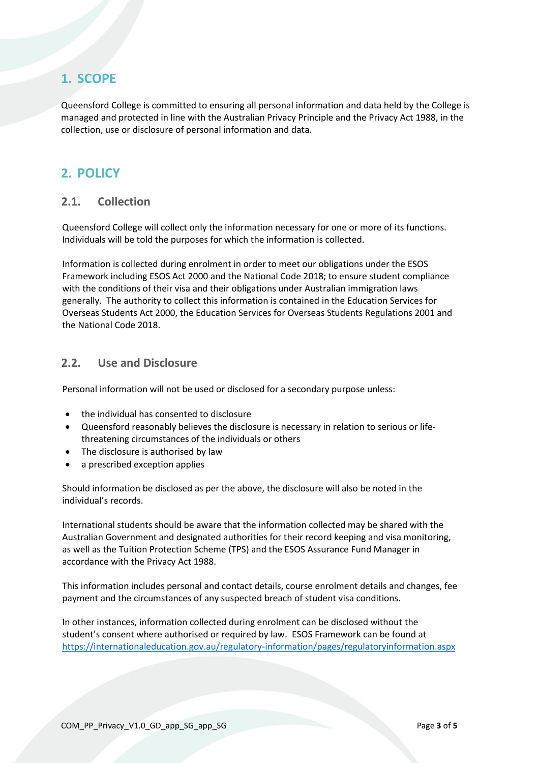# <span id="page-2-0"></span>**1. SCOPE**

Queensford College is committed to ensuring all personal information and data held by the College is managed and protected in line with the Australian Privacy Principle and the Privacy Act 1988, in the collection, use or disclosure of personal information and data.

# <span id="page-2-1"></span>**2. POLICY**

#### <span id="page-2-2"></span>**2.1. Collection**

Queensford College will collect only the information necessary for one or more of its functions. Individuals will be told the purposes for which the information is collected.

Information is collected during enrolment in order to meet our obligations under the ESOS Framework including ESOS Act 2000 and the National Code 2018; to ensure student compliance with the conditions of their visa and their obligations under Australian immigration laws generally. The authority to collect this information is contained in the Education Services for Overseas Students Act 2000, the Education Services for Overseas Students Regulations 2001 and the National Code 2018.

#### <span id="page-2-3"></span>**2.2. Use and Disclosure**

Personal information will not be used or disclosed for a secondary purpose unless:

- the individual has consented to disclosure
- Queensford reasonably believes the disclosure is necessary in relation to serious or lifethreatening circumstances of the individuals or others
- The disclosure is authorised by law
- a prescribed exception applies

Should information be disclosed as per the above, the disclosure will also be noted in the individual's records.

International students should be aware that the information collected may be shared with the Australian Government and designated authorities for their record keeping and visa monitoring, as well as the Tuition Protection Scheme (TPS) and the ESOS Assurance Fund Manager in accordance with the Privacy Act 1988.

This information includes personal and contact details, course enrolment details and changes, fee payment and the circumstances of any suspected breach of student visa conditions.

In other instances, information collected during enrolment can be disclosed without the student's consent where authorised or required by law. ESOS Framework can be found at <https://internationaleducation.gov.au/regulatory-information/pages/regulatoryinformation.aspx>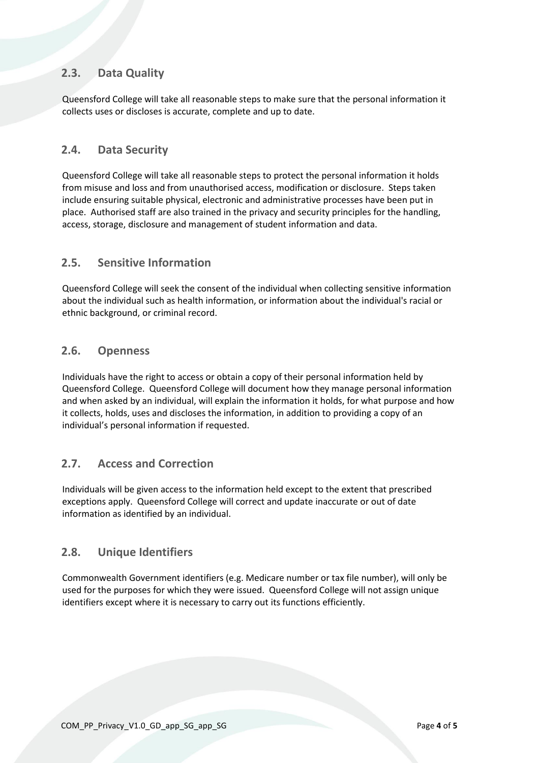## <span id="page-3-0"></span>**2.3. Data Quality**

Queensford College will take all reasonable steps to make sure that the personal information it collects uses or discloses is accurate, complete and up to date.

#### <span id="page-3-1"></span>**2.4. Data Security**

Queensford College will take all reasonable steps to protect the personal information it holds from misuse and loss and from unauthorised access, modification or disclosure. Steps taken include ensuring suitable physical, electronic and administrative processes have been put in place. Authorised staff are also trained in the privacy and security principles for the handling, access, storage, disclosure and management of student information and data.

#### <span id="page-3-2"></span>**2.5. Sensitive Information**

Queensford College will seek the consent of the individual when collecting sensitive information about the individual such as health information, or information about the individual's racial or ethnic background, or criminal record.

#### <span id="page-3-3"></span>**2.6. Openness**

Individuals have the right to access or obtain a copy of their personal information held by Queensford College. Queensford College will document how they manage personal information and when asked by an individual, will explain the information it holds, for what purpose and how it collects, holds, uses and discloses the information, in addition to providing a copy of an individual's personal information if requested.

#### <span id="page-3-4"></span>**2.7. Access and Correction**

Individuals will be given access to the information held except to the extent that prescribed exceptions apply. Queensford College will correct and update inaccurate or out of date information as identified by an individual.

#### <span id="page-3-5"></span>**2.8. Unique Identifiers**

Commonwealth Government identifiers (e.g. Medicare number or tax file number), will only be used for the purposes for which they were issued. Queensford College will not assign unique identifiers except where it is necessary to carry out its functions efficiently.